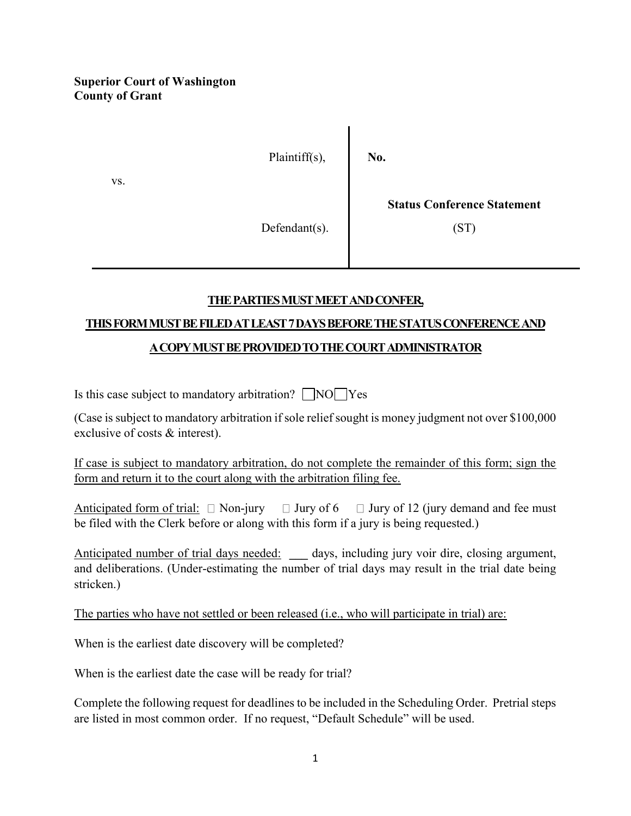## **Superior Court of Washington County of Grant**



## **THE PARTIES MUST MEET AND CONFER,**

## **THIS FORM MUST BE FILED AT LEAST 7 DAYS BEFORE THE STATUS CONFERENCE AND**

## **A COPY MUST BE PROVIDED TO THE COURT ADMINISTRATOR**

Is this case subject to mandatory arbitration?  $\Box$  NO Yes

(Case is subject to mandatory arbitration if sole relief sought is money judgment not over \$100,000 exclusive of costs & interest).

If case is subject to mandatory arbitration, do not complete the remainder of this form; sign the form and return it to the court along with the arbitration filing fee.

Anticipated form of trial:  $\Box$  Non-jury  $\Box$  Jury of 6  $\Box$  Jury of 12 (jury demand and fee must be filed with the Clerk before or along with this form if a jury is being requested.)

Anticipated number of trial days needed: **\_\_\_** days, including jury voir dire, closing argument, and deliberations. (Under-estimating the number of trial days may result in the trial date being stricken.)

The parties who have not settled or been released (i.e., who will participate in trial) are:

When is the earliest date discovery will be completed?

When is the earliest date the case will be ready for trial?

Complete the following request for deadlines to be included in the Scheduling Order. Pretrial steps are listed in most common order. If no request, "Default Schedule" will be used.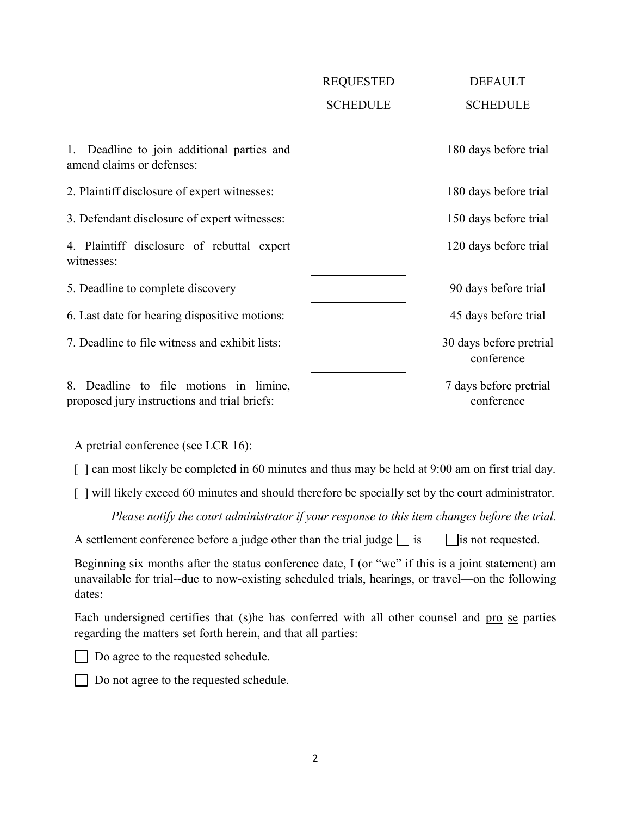|                                                                                        | <b>REQUESTED</b> | <b>DEFAULT</b>                        |
|----------------------------------------------------------------------------------------|------------------|---------------------------------------|
|                                                                                        | <b>SCHEDULE</b>  | <b>SCHEDULE</b>                       |
|                                                                                        |                  |                                       |
| Deadline to join additional parties and<br>amend claims or defenses:                   |                  | 180 days before trial                 |
| 2. Plaintiff disclosure of expert witnesses:                                           |                  | 180 days before trial                 |
| 3. Defendant disclosure of expert witnesses:                                           |                  | 150 days before trial                 |
| 4. Plaintiff disclosure of rebuttal expert<br>witnesses:                               |                  | 120 days before trial                 |
| 5. Deadline to complete discovery                                                      |                  | 90 days before trial                  |
| 6. Last date for hearing dispositive motions:                                          |                  | 45 days before trial                  |
| 7. Deadline to file witness and exhibit lists:                                         |                  | 30 days before pretrial<br>conference |
| 8. Deadline to file motions in limine,<br>proposed jury instructions and trial briefs: |                  | 7 days before pretrial<br>conference  |

A pretrial conference (see LCR 16):

[] can most likely be completed in 60 minutes and thus may be held at 9:00 am on first trial day.

[ ] will likely exceed 60 minutes and should therefore be specially set by the court administrator.

*Please notify the court administrator if your response to this item changes before the trial.*

| A settlement conference before a judge other than the trial judge $\Box$ is $\Box$ is not requested. |  |  |  |  |
|------------------------------------------------------------------------------------------------------|--|--|--|--|
|------------------------------------------------------------------------------------------------------|--|--|--|--|

Beginning six months after the status conference date, I (or "we" if this is a joint statement) am unavailable for trial--due to now-existing scheduled trials, hearings, or travel—on the following dates:

Each undersigned certifies that (s)he has conferred with all other counsel and pro se parties regarding the matters set forth herein, and that all parties:



Do agree to the requested schedule.

Do not agree to the requested schedule.